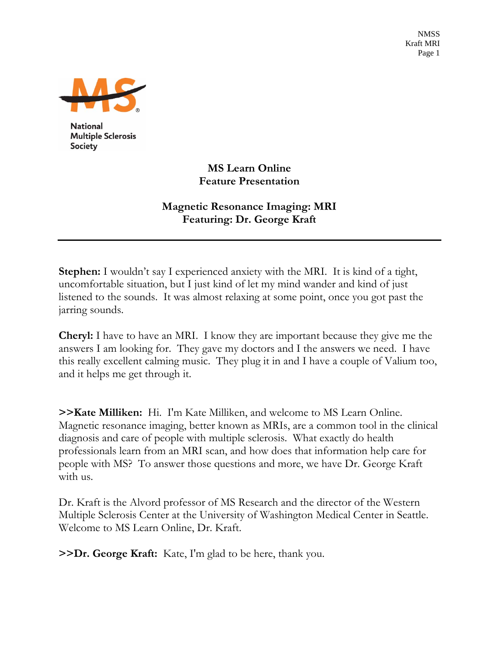NMSS Kraft MRI Page 1



**National Multiple Sclerosis Society** 

> **MS Learn Online Feature Presentation**

**Magnetic Resonance Imaging: MRI Featuring: Dr. George Kraft** 

**Stephen:** I wouldn't say I experienced anxiety with the MRI. It is kind of a tight, uncomfortable situation, but I just kind of let my mind wander and kind of just listened to the sounds. It was almost relaxing at some point, once you got past the jarring sounds.

**Cheryl:** I have to have an MRI. I know they are important because they give me the answers I am looking for. They gave my doctors and I the answers we need. I have this really excellent calming music. They plug it in and I have a couple of Valium too, and it helps me get through it.

**>>Kate Milliken:** Hi. I'm Kate Milliken, and welcome to MS Learn Online. Magnetic resonance imaging, better known as MRIs, are a common tool in the clinical diagnosis and care of people with multiple sclerosis. What exactly do health professionals learn from an MRI scan, and how does that information help care for people with MS? To answer those questions and more, we have Dr. George Kraft with us.

Dr. Kraft is the Alvord professor of MS Research and the director of the Western Multiple Sclerosis Center at the University of Washington Medical Center in Seattle. Welcome to MS Learn Online, Dr. Kraft.

**>>Dr. George Kraft:** Kate, I'm glad to be here, thank you.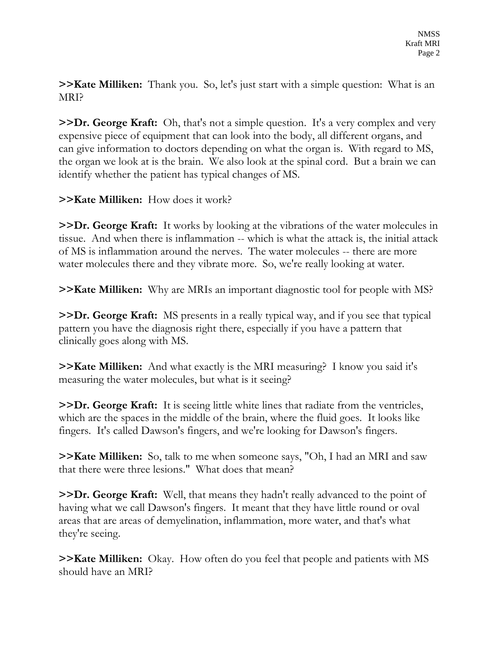**>>Kate Milliken:** Thank you. So, let's just start with a simple question: What is an MRI?

**>>Dr. George Kraft:** Oh, that's not a simple question. It's a very complex and very expensive piece of equipment that can look into the body, all different organs, and can give information to doctors depending on what the organ is. With regard to MS, the organ we look at is the brain. We also look at the spinal cord. But a brain we can identify whether the patient has typical changes of MS.

## **>>Kate Milliken:** How does it work?

**>>Dr. George Kraft:** It works by looking at the vibrations of the water molecules in tissue. And when there is inflammation -- which is what the attack is, the initial attack of MS is inflammation around the nerves. The water molecules -- there are more water molecules there and they vibrate more. So, we're really looking at water.

**>>Kate Milliken:** Why are MRIs an important diagnostic tool for people with MS?

**>>Dr. George Kraft:** MS presents in a really typical way, and if you see that typical pattern you have the diagnosis right there, especially if you have a pattern that clinically goes along with MS.

**>>Kate Milliken:** And what exactly is the MRI measuring? I know you said it's measuring the water molecules, but what is it seeing?

**>>Dr. George Kraft:** It is seeing little white lines that radiate from the ventricles, which are the spaces in the middle of the brain, where the fluid goes. It looks like fingers. It's called Dawson's fingers, and we're looking for Dawson's fingers.

**>>Kate Milliken:** So, talk to me when someone says, "Oh, I had an MRI and saw that there were three lesions." What does that mean?

**>>Dr. George Kraft:** Well, that means they hadn't really advanced to the point of having what we call Dawson's fingers. It meant that they have little round or oval areas that are areas of demyelination, inflammation, more water, and that's what they're seeing.

**>>Kate Milliken:** Okay. How often do you feel that people and patients with MS should have an MRI?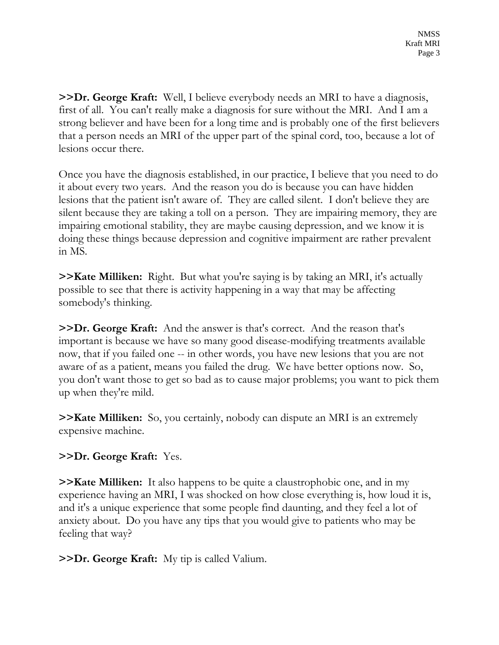**>>Dr. George Kraft:** Well, I believe everybody needs an MRI to have a diagnosis, first of all. You can't really make a diagnosis for sure without the MRI. And I am a strong believer and have been for a long time and is probably one of the first believers that a person needs an MRI of the upper part of the spinal cord, too, because a lot of lesions occur there.

Once you have the diagnosis established, in our practice, I believe that you need to do it about every two years. And the reason you do is because you can have hidden lesions that the patient isn't aware of. They are called silent. I don't believe they are silent because they are taking a toll on a person. They are impairing memory, they are impairing emotional stability, they are maybe causing depression, and we know it is doing these things because depression and cognitive impairment are rather prevalent in MS.

**>>Kate Milliken:** Right. But what you're saying is by taking an MRI, it's actually possible to see that there is activity happening in a way that may be affecting somebody's thinking.

**>>Dr. George Kraft:** And the answer is that's correct. And the reason that's important is because we have so many good disease-modifying treatments available now, that if you failed one -- in other words, you have new lesions that you are not aware of as a patient, means you failed the drug. We have better options now. So, you don't want those to get so bad as to cause major problems; you want to pick them up when they're mild.

**>>Kate Milliken:** So, you certainly, nobody can dispute an MRI is an extremely expensive machine.

## **>>Dr. George Kraft:** Yes.

**>>Kate Milliken:** It also happens to be quite a claustrophobic one, and in my experience having an MRI, I was shocked on how close everything is, how loud it is, and it's a unique experience that some people find daunting, and they feel a lot of anxiety about. Do you have any tips that you would give to patients who may be feeling that way?

**>>Dr. George Kraft:** My tip is called Valium.